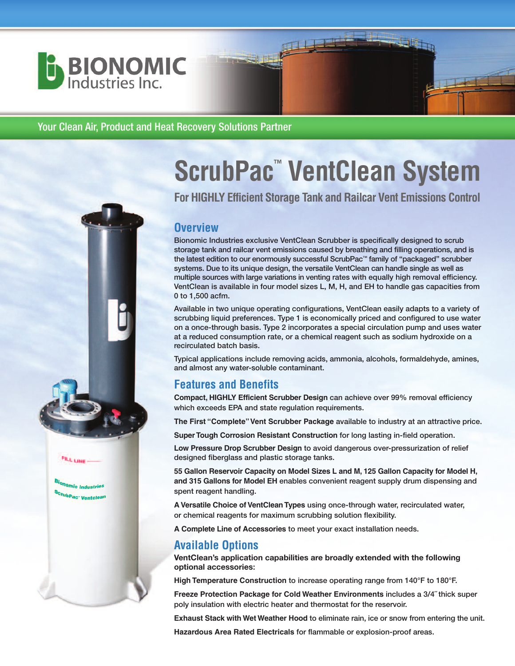

**FALL LINE** 

<sup>r</sup>ubPac<sup>.</sup> Ventcle

#### Your Clean Air, Product and Heat Recovery Solutions Partner

# **ScrubPac ™ VentClean System**

四县

**For HIGHLY Efficient Storage Tank and Railcar Vent Emissions Control**

#### **Overview**

Bionomic Industries exclusive VentClean Scrubber is specifically designed to scrub storage tank and railcar vent emissions caused by breathing and filling operations, and is the latest edition to our enormously successful ScrubPac™ family of "packaged" scrubber systems. Due to its unique design, the versatile VentClean can handle single as well as multiple sources with large variations in venting rates with equally high removal efficiency. VentClean is available in four model sizes L, M, H, and EH to handle gas capacities from 0 to 1,500 acfm.

Available in two unique operating configurations, VentClean easily adapts to a variety of scrubbing liquid preferences. Type 1 is economically priced and configured to use water on a once-through basis. Type 2 incorporates a special circulation pump and uses water at a reduced consumption rate, or a chemical reagent such as sodium hydroxide on a recirculated batch basis.

Typical applications include removing acids, ammonia, alcohols, formaldehyde, amines, and almost any water-soluble contaminant.

## **Features and Benefits**

**Compact, HIGHLY Efficient Scrubber Design** can achieve over 99% removal efficiency which exceeds EPA and state regulation requirements.

**The First "Complete"Vent Scrubber Package** available to industry at an attractive price.

**SuperTough Corrosion Resistant Construction** for long lasting in-field operation.

**Low Pressure Drop Scrubber Design** to avoid dangerous over-pressurization of relief designed fiberglass and plastic storage tanks.

**55 Gallon Reservoir Capacity on Model Sizes L and M, 125 Gallon Capacity for Model H, and 315 Gallons for Model EH** enables convenient reagent supply drum dispensing and spent reagent handling.

**A Versatile Choice ofVentCleanTypes** using once-through water, recirculated water, or chemical reagents for maximum scrubbing solution flexibility.

**A Complete Line of Accessories** to meet your exact installation needs.

## **Available Options**

**VentClean's application capabilities are broadly extended with the following optional accessories**:

**High Temperature Construction** to increase operating range from 140°F to 180°F.

**Freeze Protection Package for Cold Weather Environments** includes a 3/4˝ thick super poly insulation with electric heater and thermostat for the reservoir.

**Exhaust Stack with Wet Weather Hood** to eliminate rain, ice or snow from entering the unit.

**Hazardous Area Rated Electricals** for flammable or explosion-proof areas.